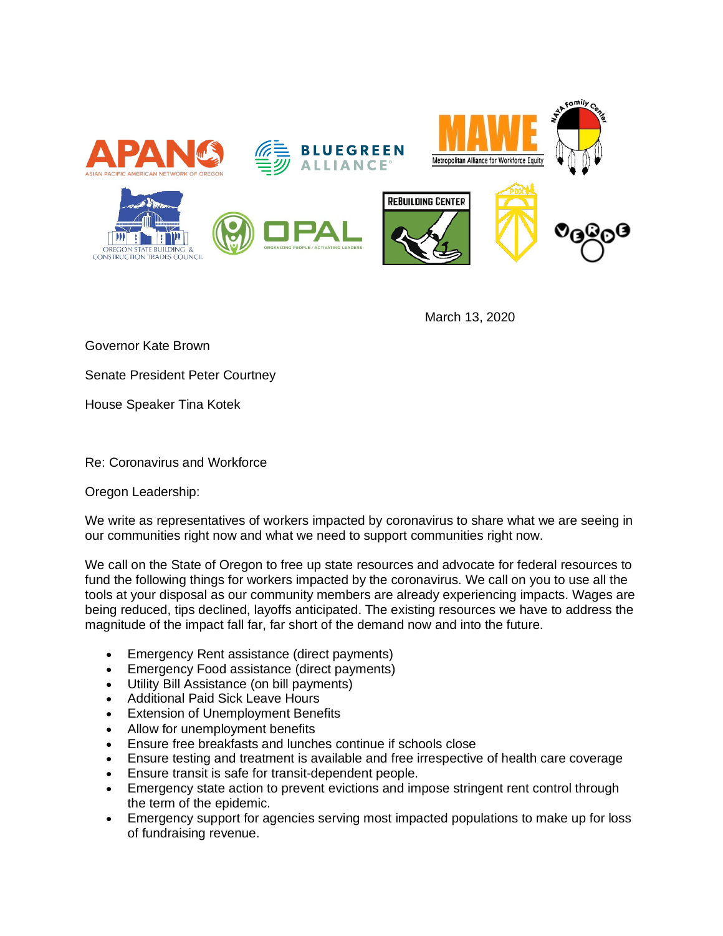

March 13, 2020

Governor Kate Brown

Senate President Peter Courtney

House Speaker Tina Kotek

Re: Coronavirus and Workforce

Oregon Leadership:

We write as representatives of workers impacted by coronavirus to share what we are seeing in our communities right now and what we need to support communities right now.

We call on the State of Oregon to free up state resources and advocate for federal resources to fund the following things for workers impacted by the coronavirus. We call on you to use all the tools at your disposal as our community members are already experiencing impacts. Wages are being reduced, tips declined, layoffs anticipated. The existing resources we have to address the magnitude of the impact fall far, far short of the demand now and into the future.

- Emergency Rent assistance (direct payments)
- Emergency Food assistance (direct payments)
- Utility Bill Assistance (on bill payments)
- Additional Paid Sick Leave Hours
- **Extension of Unemployment Benefits**
- Allow for unemployment benefits
- Ensure free breakfasts and lunches continue if schools close
- Ensure testing and treatment is available and free irrespective of health care coverage
- Ensure transit is safe for transit-dependent people.
- Emergency state action to prevent evictions and impose stringent rent control through the term of the epidemic.
- Emergency support for agencies serving most impacted populations to make up for loss of fundraising revenue.